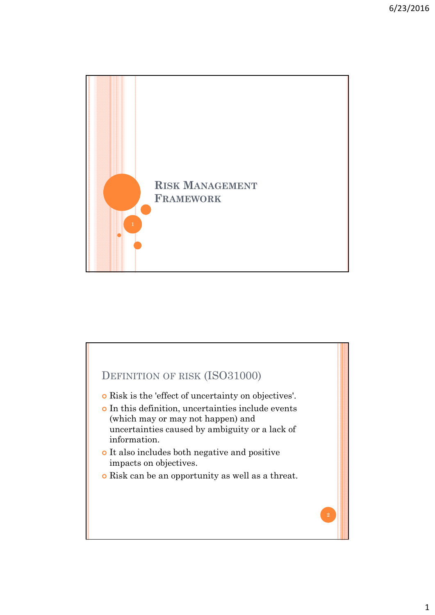

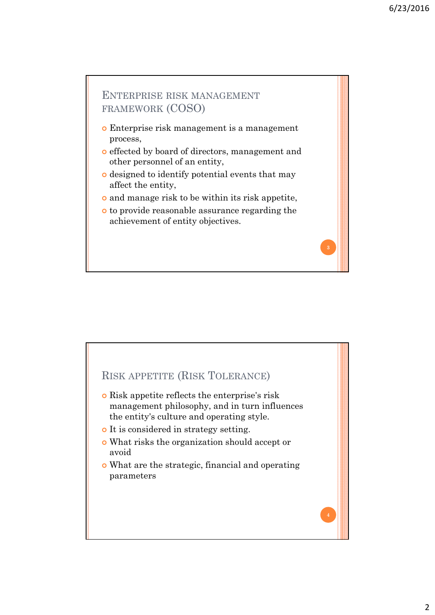# ENTERPRISE RISK MANAGEMENT FRAMEWORK (COSO) Enterprise risk management is a management process, effected by board of directors, management and other personnel of an entity, designed to identify potential events that may affect the entity, and manage risk to be within its risk appetite, to provide reasonable assurance regarding the achievement of entity objectives.

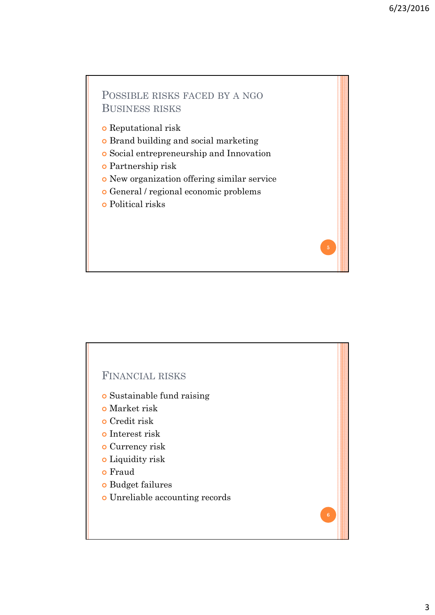## POSSIBLE RISKS FACED BY A NGO BUSINESS RISKS

- Reputational risk
- Brand building and social marketing
- Social entrepreneurship and Innovation
- Partnership risk
- New organization offering similar service
- General / regional economic problems
- Political risks

#### FINANCIAL RISKS

- Sustainable fund raising
- Market risk
- Credit risk
- o Interest risk
- o Currency risk
- Liquidity risk
- o Fraud
- Budget failures
- Unreliable accounting records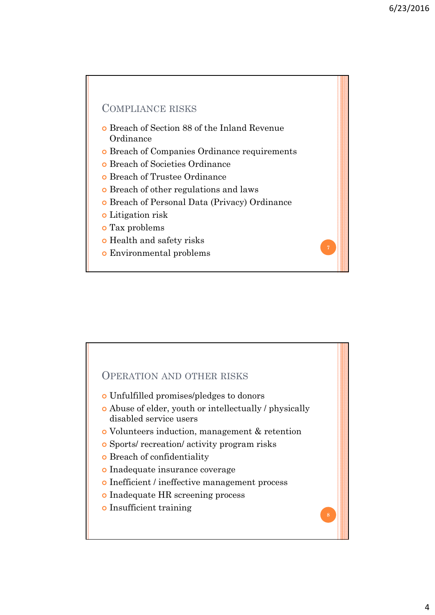### COMPLIANCE RISKS

- Breach of Section 88 of the Inland Revenue Ordinance
- Breach of Companies Ordinance requirements
- Breach of Societies Ordinance
- Breach of Trustee Ordinance
- Breach of other regulations and laws
- Breach of Personal Data (Privacy) Ordinance
- Litigation risk
- Tax problems
- Health and safety risks
- Environmental problems

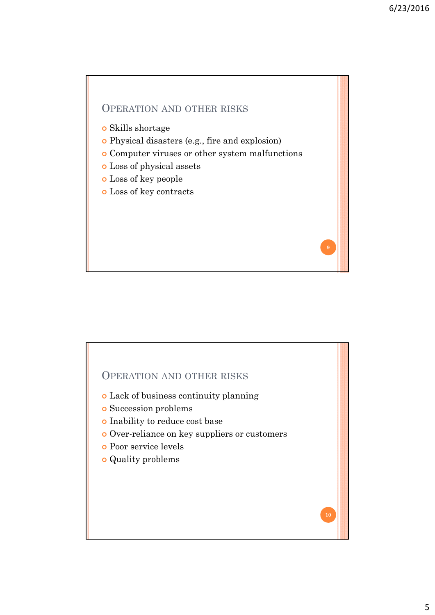**9**

## OPERATION AND OTHER RISKS

- Skills shortage
- Physical disasters (e.g., fire and explosion)
- Computer viruses or other system malfunctions
- Loss of physical assets
- Loss of key people
- Loss of key contracts

#### OPERATION AND OTHER RISKS

- Lack of business continuity planning
- Succession problems
- Inability to reduce cost base
- Over-reliance on key suppliers or customers
- Poor service levels
- Quality problems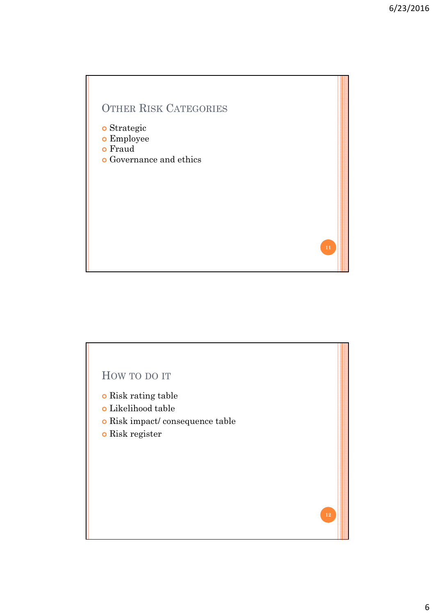

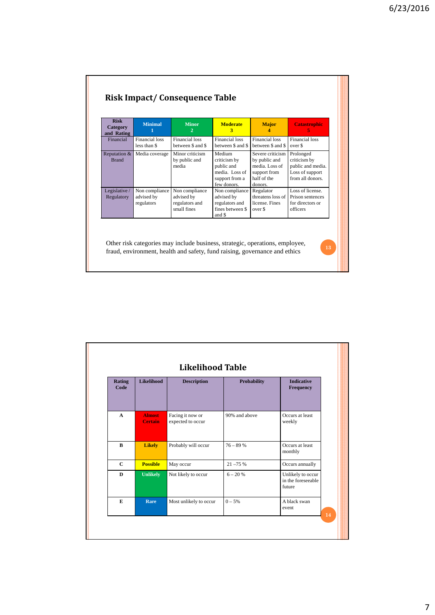| <b>Risk</b><br>Category<br>and Rating | <b>Minimal</b>                             | <b>Minor</b><br>$\mathbf{2}^{\prime}$                         | <b>Moderate</b><br>3                                                                    | <b>Major</b>                                                                                  | <b>Catastrophic</b>                                                                   |
|---------------------------------------|--------------------------------------------|---------------------------------------------------------------|-----------------------------------------------------------------------------------------|-----------------------------------------------------------------------------------------------|---------------------------------------------------------------------------------------|
| Financial                             | <b>Financial loss</b><br>less than \$      | <b>Financial loss</b><br>between \$ and \$                    | Financial loss<br>between \$ and \$                                                     | Financial loss<br>between \$ and \$                                                           | Financial loss<br>over \$                                                             |
| Reputation &<br><b>Brand</b>          | Media coverage                             | Minor criticism<br>by public and<br>media                     | Medium<br>criticism by<br>public and<br>media. Loss of<br>support from a<br>few donors. | Severe criticism<br>by public and<br>media. Loss of<br>support from<br>half of the<br>donors. | Prolonged<br>criticism by<br>public and media.<br>Loss of support<br>from all donors. |
| Legislative/<br>Regulatory            | Non compliance<br>advised by<br>regulators | Non compliance<br>advised by<br>regulators and<br>small fines | Non compliance<br>advised by<br>regulators and<br>fines between \$<br>and \$            | Regulator<br>threatens loss of<br>license Fines<br>over \$                                    | Loss of license<br>Prison sentences<br>for directors or<br>officers                   |

| <b>Rating</b><br>Code | <b>Likelihood</b>               | <b>Description</b>                    | <b>Probability</b> | <b>Indicative</b><br><b>Frequency</b>             |
|-----------------------|---------------------------------|---------------------------------------|--------------------|---------------------------------------------------|
|                       |                                 |                                       |                    |                                                   |
| $\mathbf{A}$          | <b>Almost</b><br><b>Certain</b> | Facing it now or<br>expected to occur | 90% and above      | Occurs at least<br>weekly                         |
| B                     | <b>Likely</b>                   | Probably will occur                   | $76 - 89%$         | Occurs at least<br>monthly                        |
| $\mathbf C$           | <b>Possible</b>                 | May occur                             | $21 - 75%$         | Occurs annually                                   |
| D                     | <b>Unlikely</b>                 | Not likely to occur                   | $6 - 20%$          | Unlikely to occur<br>in the foreseeable<br>future |
| E                     | Rare                            | Most unlikely to occur                | $0 - 5%$           | A black swan<br>event                             |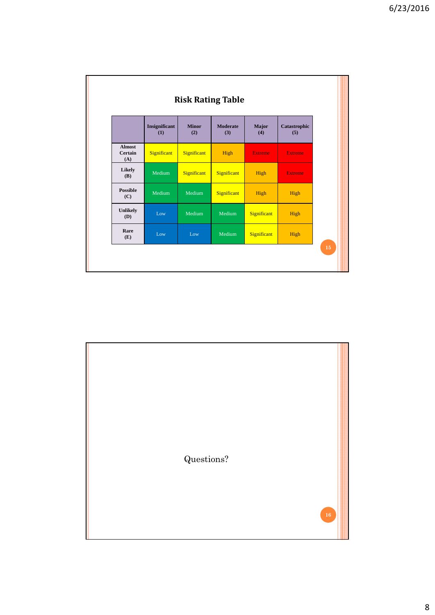| <b>Risk Rating Table</b>        |                      |                     |                        |                |                     |  |  |
|---------------------------------|----------------------|---------------------|------------------------|----------------|---------------------|--|--|
|                                 | Insignificant<br>(1) | <b>Minor</b><br>(2) | <b>Moderate</b><br>(3) | Major<br>(4)   | Catastrophic<br>(5) |  |  |
| <b>Almost</b><br>Certain<br>(A) | Significant          | Significant         | High                   | <b>Extreme</b> | <b>Extreme</b>      |  |  |
| Likely<br><b>(B)</b>            | Medium               | Significant         | Significant            | High           | <b>Extreme</b>      |  |  |
| <b>Possible</b><br>(C)          | Medium               | Medium              | Significant            | High           | High                |  |  |
| <b>Unlikely</b><br>(D)          | Low                  | Medium              | Medium                 | Significant    | High                |  |  |
| Rare<br>(E)                     | Low                  | Low                 | Medium                 | Significant    | High                |  |  |